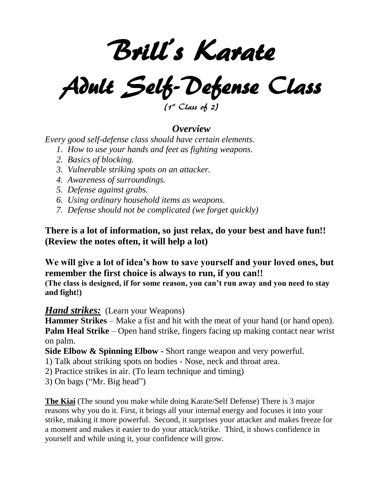Brill's Karate

Adult Self-Defense Class

 $(1<sup>st</sup> Class of 2)$ 

# *Overview*

*Every good self-defense class should have certain elements.*

- *1. How to use your hands and feet as fighting weapons.*
- *2. Basics of blocking.*
- *3. Vulnerable striking spots on an attacker.*
- *4. Awareness of surroundings.*
- *5. Defense against grabs.*
- *6. Using ordinary household items as weapons.*
- *7. Defense should not be complicated (we forget quickly)*

**There is a lot of information, so just relax, do your best and have fun!! (Review the notes often, it will help a lot)**

**We will give a lot of idea's how to save yourself and your loved ones, but remember the first choice is always to run, if you can!!**

**(The class is designed, if for some reason, you can't run away and you need to stay and fight!)**

## *Hand strikes:* (Learn your Weapons)

**Hammer Strikes** – Make a fist and hit with the meat of your hand (or hand open). **Palm Heal Strike** – Open hand strike, fingers facing up making contact near wrist on palm.

**Side Elbow & Spinning Elbow -** Short range weapon and very powerful.

- 1) Talk about striking spots on bodies Nose, neck and throat area.
- 2) Practice strikes in air. (To learn technique and timing)
- 3) On bags ("Mr. Big head")

**The Kiai** (The sound you make while doing Karate/Self Defense) There is 3 major reasons why you do it. First, it brings all your internal energy and focuses it into your strike, making it more powerful. Second, it surprises your attacker and makes freeze for a moment and makes it easier to do your attack/strike. Third, it shows confidence in yourself and while using it, your confidence will grow.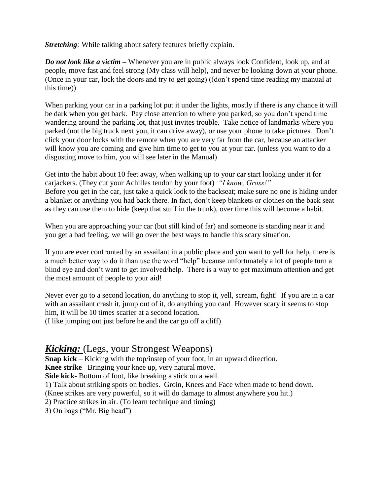*Stretching:* While talking about safety features briefly explain.

*Do not look like a victim –* Whenever you are in public always look Confident, look up, and at people, move fast and feel strong (My class will help), and never be looking down at your phone. (Once in your car, lock the doors and try to get going) ((don't spend time reading my manual at this time))

When parking your car in a parking lot put it under the lights, mostly if there is any chance it will be dark when you get back. Pay close attention to where you parked, so you don't spend time wandering around the parking lot, that just invites trouble. Take notice of landmarks where you parked (not the big truck next you, it can drive away), or use your phone to take pictures. Don't click your door locks with the remote when you are very far from the car, because an attacker will know you are coming and give him time to get to you at your car. (unless you want to do a disgusting move to him, you will see later in the Manual)

Get into the habit about 10 feet away, when walking up to your car start looking under it for carjackers. (They cut your Achilles tendon by your foot) *"I know, Gross!"* Before you get in the car, just take a quick look to the backseat; make sure no one is hiding under a blanket or anything you had back there. In fact, don't keep blankets or clothes on the back seat as they can use them to hide (keep that stuff in the trunk), over time this will become a habit.

When you are approaching your car (but still kind of far) and someone is standing near it and you get a bad feeling, we will go over the best ways to handle this scary situation.

If you are ever confronted by an assailant in a public place and you want to yell for help, there is a much better way to do it than use the word "help" because unfortunately a lot of people turn a blind eye and don't want to get involved/help. There is a way to get maximum attention and get the most amount of people to your aid!

Never ever go to a second location, do anything to stop it, yell, scream, fight! If you are in a car with an assailant crash it, jump out of it, do anything you can! However scary it seems to stop him, it will be 10 times scarier at a second location.

(I like jumping out just before he and the car go off a cliff)

# *Kicking:* (Legs, your Strongest Weapons)

**Snap kick** – Kicking with the top/instep of your foot, in an upward direction.

**Knee strike** –Bringing your knee up, very natural move.

**Side kick-** Bottom of foot, like breaking a stick on a wall.

1) Talk about striking spots on bodies. Groin, Knees and Face when made to bend down.

(Knee strikes are very powerful, so it will do damage to almost anywhere you hit.)

2) Practice strikes in air. (To learn technique and timing)

3) On bags ("Mr. Big head")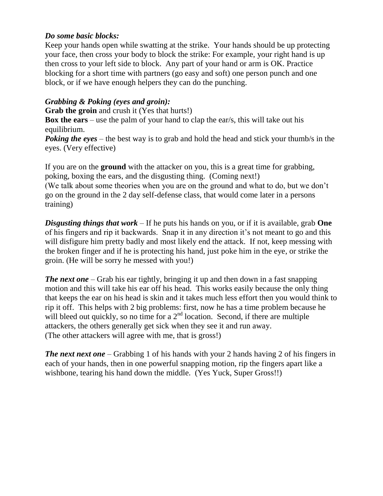#### *Do some basic blocks:*

Keep your hands open while swatting at the strike. Your hands should be up protecting your face, then cross your body to block the strike: For example, your right hand is up then cross to your left side to block. Any part of your hand or arm is OK. Practice blocking for a short time with partners (go easy and soft) one person punch and one block, or if we have enough helpers they can do the punching.

### *Grabbing & Poking (eyes and groin):*

**Grab the groin** and crush it (Yes that hurts!)

**Box the ears** – use the palm of your hand to clap the ear/s, this will take out his equilibrium.

**Poking the eyes** – the best way is to grab and hold the head and stick your thumb/s in the eyes. (Very effective)

If you are on the **ground** with the attacker on you, this is a great time for grabbing, poking, boxing the ears, and the disgusting thing. (Coming next!) (We talk about some theories when you are on the ground and what to do, but we don't go on the ground in the 2 day self-defense class, that would come later in a persons training)

*Disgusting things that work* – If he puts his hands on you, or if it is available, grab **One** of his fingers and rip it backwards. Snap it in any direction it's not meant to go and this will disfigure him pretty badly and most likely end the attack. If not, keep messing with the broken finger and if he is protecting his hand, just poke him in the eye, or strike the groin. (He will be sorry he messed with you!)

*The next one* – Grab his ear tightly, bringing it up and then down in a fast snapping motion and this will take his ear off his head. This works easily because the only thing that keeps the ear on his head is skin and it takes much less effort then you would think to rip it off. This helps with 2 big problems: first, now he has a time problem because he will bleed out quickly, so no time for a  $2<sup>nd</sup>$  location. Second, if there are multiple attackers, the others generally get sick when they see it and run away. (The other attackers will agree with me, that is gross!)

*The next next one* – Grabbing 1 of his hands with your 2 hands having 2 of his fingers in each of your hands, then in one powerful snapping motion, rip the fingers apart like a wishbone, tearing his hand down the middle. (Yes Yuck, Super Gross!!)